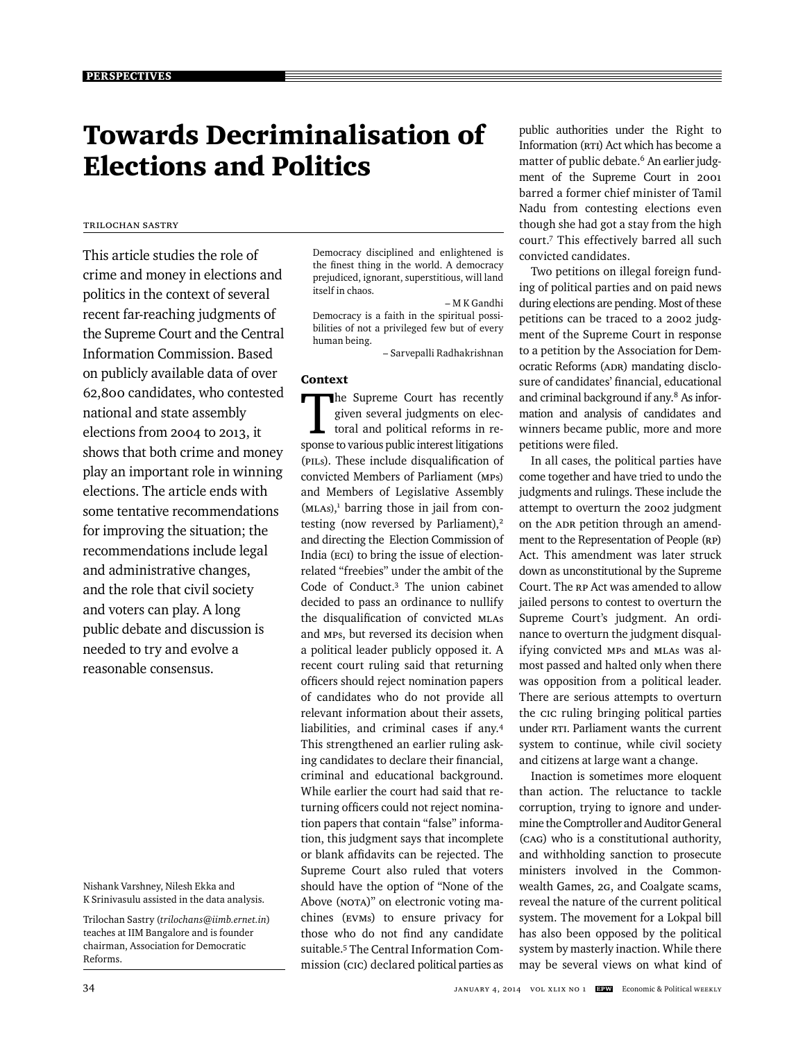# Towards Decriminalisation of Elections and Politics

# Trilochan Sastry

This article studies the role of crime and money in elections and politics in the context of several recent far-reaching judgments of the Supreme Court and the Central Information Commission. Based on publicly available data of over 62,800 candidates, who contested national and state assembly elections from 2004 to 2013, it shows that both crime and money play an important role in winning elections. The article ends with some tentative recommendations for improving the situation; the recommendations include legal and administrative changes, and the role that civil society and voters can play. A long public debate and discussion is needed to try and evolve a reasonable consensus.

Nishank Varshney, Nilesh Ekka and K Srinivasulu assisted in the data analysis.

Trilochan Sastry (*trilochans@iimb.ernet.in*) teaches at IIM Bangalore and is founder chairman, Association for Democratic Reforms.

Democracy disciplined and enlightened is the finest thing in the world. A democracy prejudiced, ignorant, superstitious, will land itself in chaos.

 *–* M K Gandhi Democracy is a faith in the spiritual possibilities of not a privileged few but of every human being.

*–* Sarvepalli Radhakrishnan

# Context

The Supreme Court has recently given several judgments on electoral and political reforms in response to various public interest litigations (PILs). These include disqualification of convicted Members of Parliament (MPs) and Members of Legislative Assembly (MLAs), 1 barring those in jail from contesting (now reversed by Parliament), $2$ and directing the Election Commission of India (ECI) to bring the issue of electionrelated "freebies" under the ambit of the Code of Conduct.3 The union cabinet decided to pass an ordinance to nullify the disqualification of convicted MLAs and MPs, but reversed its decision when a political leader publicly opposed it. A recent court ruling said that returning officers should reject nomination papers of candidates who do not provide all relevant information about their assets, liabilities, and criminal cases if any.4 This strengthened an earlier ruling asking candidates to declare their financial, criminal and educational background. While earlier the court had said that returning officers could not reject nomination papers that contain "false" information, this judgment says that incomplete or blank affidavits can be rejected. The Supreme Court also ruled that voters should have the option of "None of the Above (NOTA)" on electronic voting machines (EVMs) to ensure privacy for those who do not find any candidate suitable.<sup>5</sup> The Central Information Commission (CIC) declared political parties as

public authorities under the Right to Information (RTI) Act which has become a matter of public debate.<sup>6</sup> An earlier judgment of the Supreme Court in 2001 barred a former chief minister of Tamil Nadu from contesting elections even though she had got a stay from the high court.7 This effectively barred all such convicted candidates.

Two petitions on illegal foreign funding of political parties and on paid news during elections are pending. Most of these petitions can be traced to a 2002 judgment of the Supreme Court in response to a petition by the Association for Democratic Reforms (ADR) mandating disclosure of candidates' financial, educational and criminal background if any.<sup>8</sup> As information and analysis of candidates and winners became public, more and more petitions were filed.

In all cases, the political parties have come together and have tried to undo the judgments and rulings. These include the attempt to overturn the 2002 judgment on the ADR petition through an amendment to the Representation of People (RP) Act. This amendment was later struck down as unconstitutional by the Supreme Court. The RP Act was amended to allow jailed persons to contest to overturn the Supreme Court's judgment. An ordinance to overturn the judgment disqualifying convicted MPs and MLAs was almost passed and halted only when there was opposition from a political leader. There are serious attempts to overturn the CIC ruling bringing political parties under RTI. Parliament wants the current system to continue, while civil society and citizens at large want a change.

Inaction is sometimes more eloquent than action. The reluctance to tackle corruption, trying to ignore and undermine the Comptroller and Auditor General (CAG) who is a constitutional authority, and withholding sanction to prosecute ministers involved in the Commonwealth Games, 2G, and Coalgate scams, reveal the nature of the current political system. The movement for a Lokpal bill has also been opposed by the political system by masterly inaction. While there may be several views on what kind of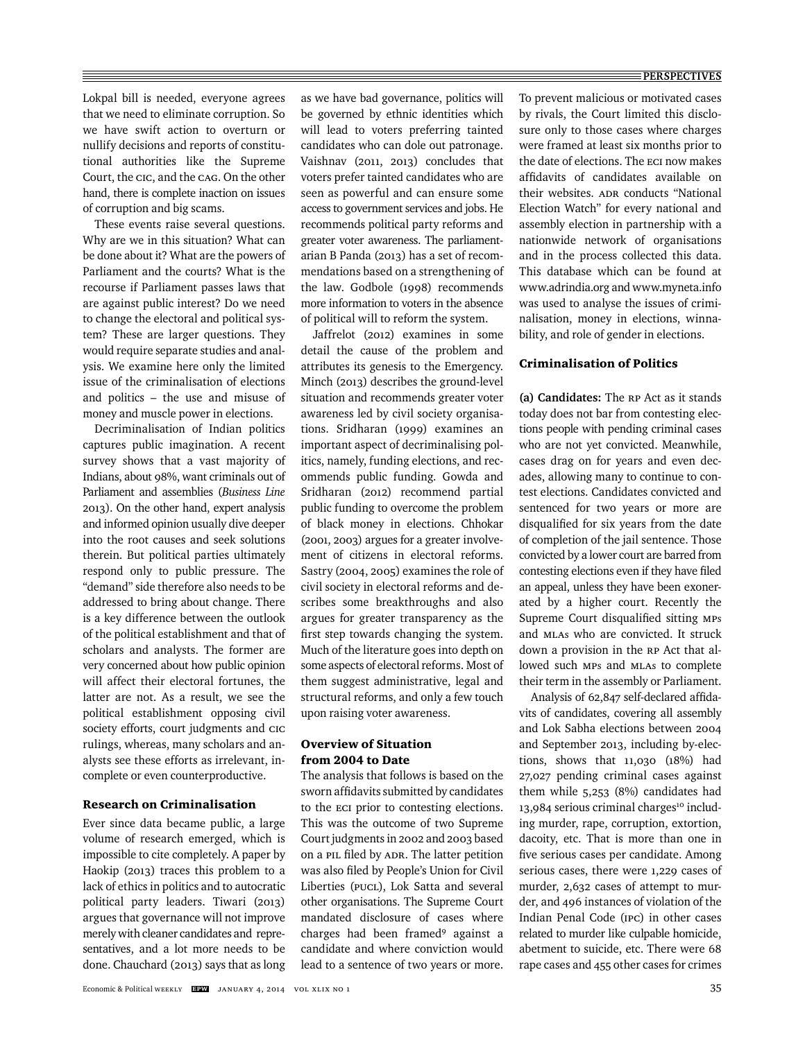Lokpal bill is needed, everyone agrees that we need to eliminate corruption. So we have swift action to overturn or nullify decisions and reports of constitutional authorities like the Supreme Court, the CIC, and the CAG. On the other hand, there is complete inaction on issues of corruption and big scams.

These events raise several questions. Why are we in this situation? What can be done about it? What are the powers of Parliament and the courts? What is the recourse if Parliament passes laws that are against public interest? Do we need to change the electoral and political system? These are larger questions. They would require separate studies and analysis. We examine here only the limited issue of the criminalisation of elections and politics – the use and misuse of money and muscle power in elections.

Decriminalisation of Indian politics captures public imagination. A recent survey shows that a vast majority of Indians, about 98%, want criminals out of Parliament and assemblies (*Business Line* 2013). On the other hand, expert analysis and informed opinion usually dive deeper into the root causes and seek solutions therein. But political parties ultimately respond only to public pressure. The "demand" side therefore also needs to be addressed to bring about change. There is a key difference between the outlook of the political establishment and that of scholars and analysts. The former are very concerned about how public opinion will affect their electoral fortunes, the latter are not. As a result, we see the political establishment opposing civil society efforts, court judgments and CIC rulings, whereas, many scholars and analysts see these efforts as irrelevant, incomplete or even counterproductive.

# Research on Criminalisation

Ever since data became public, a large volume of research emerged, which is impossible to cite completely. A paper by Haokip (2013) traces this problem to a lack of ethics in politics and to autocratic political party leaders. Tiwari (2013) argues that governance will not improve merely with cleaner candidates and representatives, and a lot more needs to be done. Chauchard (2013) says that as long

as we have bad governance, politics will be governed by ethnic identities which will lead to voters preferring tainted candidates who can dole out patronage. Vaishnav (2011, 2013) concludes that voters prefer tainted candidates who are seen as powerful and can ensure some access to government services and jobs. He recommends political party reforms and greater voter awareness. The parliamentarian B Panda (2013) has a set of recommendations based on a strengthening of the law. Godbole (1998) recommends more information to voters in the absence of political will to reform the system.

Jaffrelot (2012) examines in some detail the cause of the problem and attributes its genesis to the Emergency. Minch (2013) describes the ground-level situation and recommends greater voter awareness led by civil society organisations. Sridharan (1999) examines an important aspect of decriminalising politics, namely, funding elections, and recommends public funding. Gowda and Sridharan (2012) recommend partial public funding to overcome the problem of black money in elections. Chhokar (2001, 2003) argues for a greater involvement of citizens in electoral reforms. Sastry (2004, 2005) examines the role of civil society in electoral reforms and describes some breakthroughs and also argues for greater transparency as the first step towards changing the system. Much of the literature goes into depth on some aspects of electoral reforms. Most of them suggest administrative, legal and structural reforms, and only a few touch upon raising voter awareness.

# Overview of Situation from 2004 to Date

The analysis that follows is based on the sworn affidavits submitted by candidates to the ECI prior to contesting elections. This was the outcome of two Supreme Court judgments in 2002 and 2003 based on a PIL filed by ADR. The latter petition was also filed by People's Union for Civil Liberties (PUCL), Lok Satta and several other organisations. The Supreme Court mandated disclosure of cases where charges had been framed<sup>9</sup> against a candidate and where conviction would lead to a sentence of two years or more. To prevent malicious or motivated cases by rivals, the Court limited this disclosure only to those cases where charges were framed at least six months prior to the date of elections. The ECi now makes affidavits of candidates available on their websites. ADR conducts "National Election Watch" for every national and assembly election in partnership with a nationwide network of organisations and in the process collected this data. This database which can be found at www.adrindia.org and www.myneta.info was used to analyse the issues of criminalisation, money in elections, winnability, and role of gender in elections.

## Criminalisation of Politics

**(a) Candidates:** The RP Act as it stands today does not bar from contesting elections people with pending criminal cases who are not yet convicted. Meanwhile, cases drag on for years and even decades, allowing many to continue to contest elections. Candidates convicted and sentenced for two years or more are disqualified for six years from the date of completion of the jail sentence. Those convicted by a lower court are barred from contesting elections even if they have filed an appeal, unless they have been exonerated by a higher court. Recently the Supreme Court disqualified sitting MPs and MLAs who are convicted. It struck down a provision in the RP Act that allowed such MPs and MLAs to complete their term in the assembly or Parliament.

Analysis of 62,847 self-declared affidavits of candidates, covering all assembly and Lok Sabha elections between 2004 and September 2013, including by-elections, shows that 11,030 (18%) had 27,027 pending criminal cases against them while 5,253 (8%) candidates had 13,984 serious criminal charges<sup>10</sup> including murder, rape, corruption, extortion, dacoity, etc. That is more than one in five serious cases per candidate. Among serious cases, there were 1,229 cases of murder, 2,632 cases of attempt to murder, and 496 instances of violation of the Indian Penal Code (IPC) in other cases related to murder like culpable homicide, abetment to suicide, etc. There were 68 rape cases and 455 other cases for crimes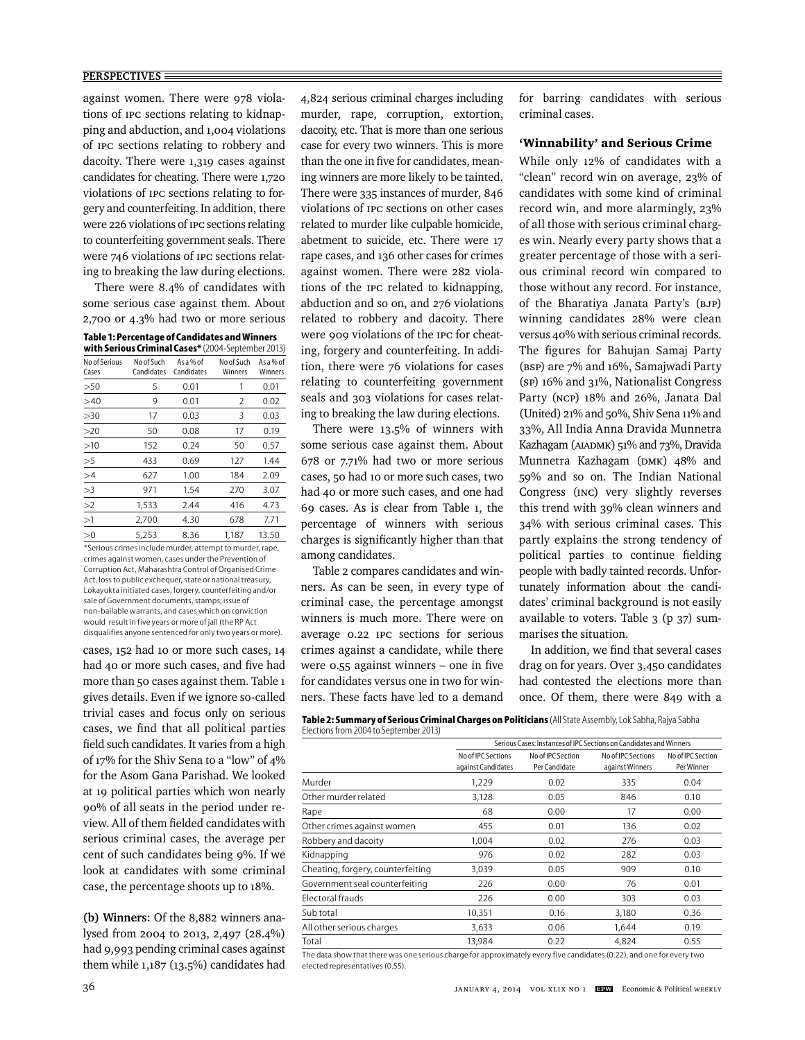#### **PERSPECTIVES**

against women. There were 978 violations of IPC sections relating to kidnapping and abduction, and 1,004 violations of IPC sections relating to robbery and dacoity. There were 1,319 cases against candidates for cheating. There were 1,720 violations of IPC sections relating to forgery and counterfeiting. In addition, there were 226 violations of IPC sections relating to counterfeiting government seals. There were 746 violations of IPC sections relating to breaking the law during elections.

There were 8.4% of candidates with some serious case against them. About 2,700 or 4.3% had two or more serious

| Table 1: Percentage of Candidates and Winners |
|-----------------------------------------------|
|-----------------------------------------------|

| with Serious Criminal Cases* (2004-September 2013) |                          |                         |                       |                      |  |  |  |
|----------------------------------------------------|--------------------------|-------------------------|-----------------------|----------------------|--|--|--|
| No of Serious<br>Cases                             | No of Such<br>Candidates | As a % of<br>Candidates | No of Such<br>Winners | As a % of<br>Winners |  |  |  |
| >50                                                | 5                        | 0.01                    | 1                     | 0.01                 |  |  |  |
| >40                                                | 9                        | 0.01                    | 2                     | 0.02                 |  |  |  |
| >30                                                | 17                       | 0.03                    | 3                     | 0.03                 |  |  |  |
| >20                                                | 50                       | 0.08                    | 17                    | 0.19                 |  |  |  |
| >10                                                | 152                      | 0.24                    | 50                    | 0.57                 |  |  |  |
| >5                                                 | 433                      | 0.69                    | 127                   | 1.44                 |  |  |  |
| >4                                                 | 627                      | 1.00                    | 184                   | 2.09                 |  |  |  |
| >3                                                 | 971                      | 1.54                    | 270                   | 3.07                 |  |  |  |
| >2                                                 | 1,533                    | 2.44                    | 416                   | 4.73                 |  |  |  |
| >1                                                 | 2,700                    | 4.30                    | 678                   | 7.71                 |  |  |  |
| >0                                                 | 5.253                    | 8.36                    | 1.187                 | 13.50                |  |  |  |

\*Serious crimes include murder, attempt to murder, rape, crimes against women, cases under the Prevention of Corruption Act, Maharashtra Control of Organised Crime Act, loss to public exchequer, state or national treasury, Lokayukta initiated cases, forgery, counterfeiting and/or sale of Government documents, stamps; issue of non-bailable warrants, and cases which on conviction would result in five years or more of jail (the RP Act disqualifies anyone sentenced for only two years or more).

cases, 152 had 10 or more such cases, 14 had 40 or more such cases, and five had more than 50 cases against them. Table 1 gives details. Even if we ignore so-called trivial cases and focus only on serious cases, we find that all political parties field such candidates. It varies from a high of 17% for the Shiv Sena to a "low" of 4% for the Asom Gana Parishad. We looked at 19 political parties which won nearly 90% of all seats in the period under review. All of them fielded candidates with serious criminal cases, the average per cent of such candidates being 9%. If we look at candidates with some criminal case, the percentage shoots up to 18%.

**(b) Winners:** Of the 8,882 winners analysed from 2004 to 2013, 2,497 (28.4%) had 9,993 pending criminal cases against them while 1,187 (13.5%) candidates had 4,824 serious criminal charges including murder, rape, corruption, extortion, dacoity, etc. That is more than one serious case for every two winners. This is more than the one in five for candidates, meaning winners are more likely to be tainted. There were 335 instances of murder, 846 violations of IPC sections on other cases related to murder like culpable homicide, abetment to suicide, etc. There were 17 rape cases, and 136 other cases for crimes against women. There were 282 violations of the IPC related to kidnapping, abduction and so on, and 276 violations related to robbery and dacoity. There were 909 violations of the IPC for cheating, forgery and counterfeiting. In addition, there were 76 violations for cases relating to counterfeiting government seals and 303 violations for cases relating to breaking the law during elections.

There were 13.5% of winners with some serious case against them. About 678 or 7.71% had two or more serious cases, 50 had 10 or more such cases, two had 40 or more such cases, and one had 69 cases. As is clear from Table 1, the percentage of winners with serious charges is significantly higher than that among candidates.

Table 2 compares candidates and winners. As can be seen, in every type of criminal case, the percentage amongst winners is much more. There were on average 0.22 IPC sections for serious crimes against a candidate, while there were  $0.55$  against winners – one in five for candidates versus one in two for winners. These facts have led to a demand for barring candidates with serious criminal cases.

## 'Winnability' and Serious Crime

While only 12% of candidates with a "clean" record win on average, 23% of candidates with some kind of criminal record win, and more alarmingly, 23% of all those with serious criminal charges win. Nearly every party shows that a greater percentage of those with a serious criminal record win compared to those without any record. For instance, of the Bharatiya Janata Party's (BJP) winning candidates 28% were clean versus 40% with serious criminal records. The figures for Bahujan Samaj Party (BSP) are 7% and 16%, Samajwadi Party (SP) 16% and 31%, Nationalist Congress Party (NCP) 18% and 26%, Janata Dal (United) 21% and 50%, Shiv Sena 11% and 33%, All India Anna Dravida Munnetra Kazhagam (AIADMK) 51% and 73%, Dravida Munnetra Kazhagam (DMK) 48% and 59% and so on. The Indian National Congress (INC) very slightly reverses this trend with 39% clean winners and 34% with serious criminal cases. This partly explains the strong tendency of political parties to continue fielding people with badly tainted records. Unfortunately information about the candidates' criminal background is not easily available to voters. Table 3 (p 37) summarises the situation.

In addition, we find that several cases drag on for years. Over 3,450 candidates had contested the elections more than once. Of them, there were 849 with a

**Table 2: Summary of Serious Criminal Charges on Politicians** (All State Assembly, Lok Sabha, Rajya Sabha Elections from 2004 to September 2013)

|                                   | Serious Cases: Instances of IPC Sections on Candidates and Winners |                                    |                                       |                                 |  |  |
|-----------------------------------|--------------------------------------------------------------------|------------------------------------|---------------------------------------|---------------------------------|--|--|
|                                   | No of IPC Sections<br>against Candidates                           | No of IPC Section<br>Per Candidate | No of IPC Sections<br>against Winners | No of IPC Section<br>Per Winner |  |  |
| Murder                            | 1,229                                                              | 0.02                               | 335                                   | 0.04                            |  |  |
| Other murder related              | 3,128                                                              | 0.05                               | 846                                   | 0.10                            |  |  |
| Rape                              | 68                                                                 | 0.00                               | 17                                    | 0.00                            |  |  |
| Other crimes against women        | 455                                                                | 0.01                               | 136                                   | 0.02                            |  |  |
| Robbery and dacoity               | 1.004                                                              | 0.02                               | 276                                   | 0.03                            |  |  |
| Kidnapping                        | 976                                                                | 0.02                               | 282                                   | 0.03                            |  |  |
| Cheating, forgery, counterfeiting | 3,039                                                              | 0.05                               | 909                                   | 0.10                            |  |  |
| Government seal counterfeiting    | 226                                                                | 0.00                               | 76                                    | 0.01                            |  |  |
| Electoral frauds                  | 226                                                                | 0.00                               | 303                                   | 0.03                            |  |  |
| Sub total                         | 10,351                                                             | 0.16                               | 3,180                                 | 0.36                            |  |  |
| All other serious charges         | 3,633                                                              | 0.06                               | 1,644                                 | 0.19                            |  |  |
| Total                             | 13.984                                                             | 0.22                               | 4.824                                 | 0.55                            |  |  |

The data show that there was one serious charge for approximately every five candidates (0.22), and one for every two elected representatives (0.55).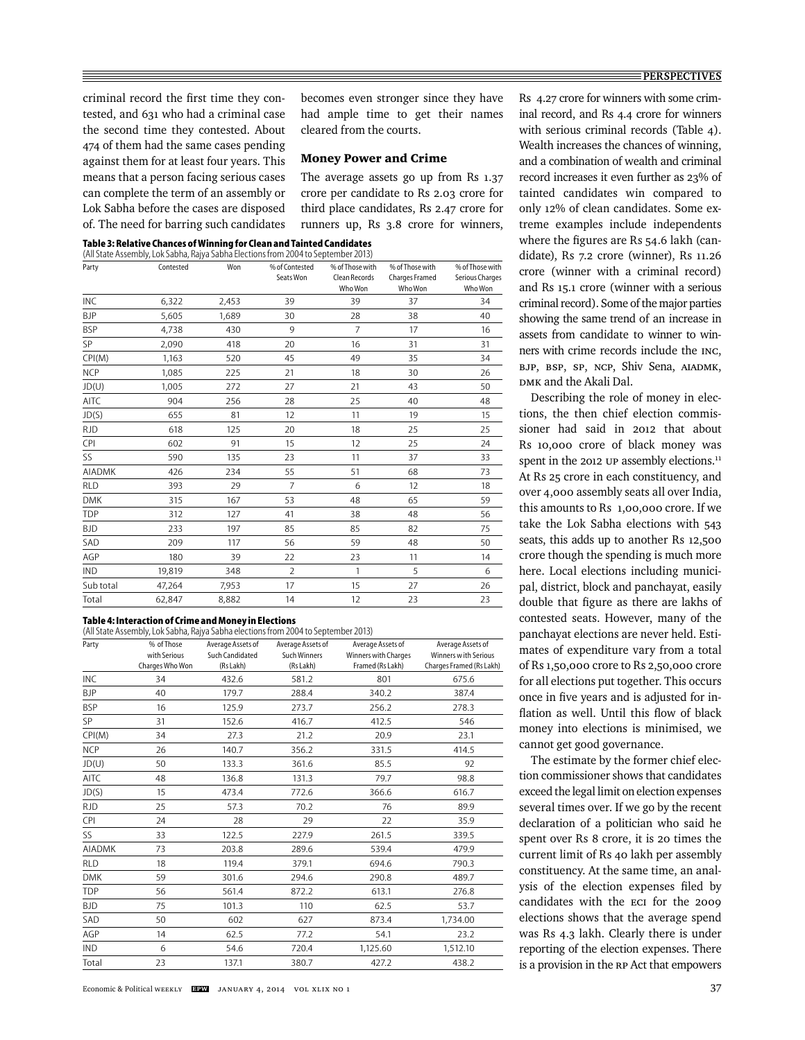criminal record the first time they contested, and 631 who had a criminal case the second time they contested. About 474 of them had the same cases pending against them for at least four years. This means that a person facing serious cases can complete the term of an assembly or Lok Sabha before the cases are disposed of. The need for barring such candidates

becomes even stronger since they have had ample time to get their names cleared from the courts.

#### Money Power and Crime

The average assets go up from Rs 1.37 crore per candidate to Rs 2.03 crore for third place candidates, Rs 2.47 crore for runners up, Rs 3.8 crore for winners,

**Table 3: Relative Chances of Winning for Clean and Tainted Candidates** 

|               | (All State Assembly, Lok Sabha, Rajya Sabha Elections from 2004 to September 2013) |       |                             |                                             |                                              |                                               |
|---------------|------------------------------------------------------------------------------------|-------|-----------------------------|---------------------------------------------|----------------------------------------------|-----------------------------------------------|
| Party         | Contested                                                                          | Won   | % of Contested<br>Seats Won | % of Those with<br>Clean Records<br>Who Won | % of Those with<br>Charges Framed<br>Who Won | % of Those with<br>Serious Charges<br>Who Won |
| INC           | 6,322                                                                              | 2,453 | 39                          | 39                                          | 37                                           | 34                                            |
| <b>BJP</b>    | 5,605                                                                              | 1,689 | 30                          | 28                                          | 38                                           | 40                                            |
| <b>BSP</b>    | 4,738                                                                              | 430   | 9                           | $\overline{7}$                              | 17                                           | 16                                            |
| SP            | 2,090                                                                              | 418   | 20                          | 16                                          | 31                                           | 31                                            |
| CPI(M)        | 1,163                                                                              | 520   | 45                          | 49                                          | 35                                           | 34                                            |
| <b>NCP</b>    | 1,085                                                                              | 225   | 21                          | 18                                          | 30                                           | 26                                            |
| JD(U)         | 1,005                                                                              | 272   | 27                          | 21                                          | 43                                           | 50                                            |
| AITC          | 904                                                                                | 256   | 28                          | 25                                          | 40                                           | 48                                            |
| JD(S)         | 655                                                                                | 81    | 12                          | 11                                          | 19                                           | 15                                            |
| <b>RJD</b>    | 618                                                                                | 125   | 20                          | 18                                          | 25                                           | 25                                            |
| <b>CPI</b>    | 602                                                                                | 91    | 15                          | 12                                          | 25                                           | 24                                            |
| SS            | 590                                                                                | 135   | 23                          | 11                                          | 37                                           | 33                                            |
| <b>AIADMK</b> | 426                                                                                | 234   | 55                          | 51                                          | 68                                           | 73                                            |
| <b>RLD</b>    | 393                                                                                | 29    | $\overline{7}$              | 6                                           | 12                                           | 18                                            |
| <b>DMK</b>    | 315                                                                                | 167   | 53                          | 48                                          | 65                                           | 59                                            |
| TDP           | 312                                                                                | 127   | 41                          | 38                                          | 48                                           | 56                                            |
| <b>BJD</b>    | 233                                                                                | 197   | 85                          | 85                                          | 82                                           | 75                                            |
| SAD           | 209                                                                                | 117   | 56                          | 59                                          | 48                                           | 50                                            |
| AGP           | 180                                                                                | 39    | 22                          | 23                                          | 11                                           | 14                                            |
| <b>IND</b>    | 19,819                                                                             | 348   | $\overline{2}$              | 1                                           | 5                                            | 6                                             |
| Sub total     | 47,264                                                                             | 7,953 | 17                          | 15                                          | 27                                           | 26                                            |
| Total         | 62,847                                                                             | 8,882 | 14                          | 12                                          | 23                                           | 23                                            |

## **Table 4: Interaction of Crime and Money in Elections**

|               | (All State Assembly, Lok Sabha, Rajya Sabha elections from 2004 to September 2013) |                                                   |                                                       |                                                               |                                                                        |
|---------------|------------------------------------------------------------------------------------|---------------------------------------------------|-------------------------------------------------------|---------------------------------------------------------------|------------------------------------------------------------------------|
| Party         | % of Those<br>with Serious<br>Charges Who Won                                      | Average Assets of<br>Such Candidated<br>(Rs Lakh) | Average Assets of<br><b>Such Winners</b><br>(Rs Lakh) | Average Assets of<br>Winners with Charges<br>Framed (Rs Lakh) | Average Assets of<br>Winners w ith Serious<br>Charges Framed (Rs Lakh) |
| INC           | 34                                                                                 | 432.6                                             | 581.2                                                 | 801                                                           | 675.6                                                                  |
| <b>BJP</b>    | 40                                                                                 | 179.7                                             | 288.4                                                 | 340.2                                                         | 387.4                                                                  |
| <b>BSP</b>    | 16                                                                                 | 125.9                                             | 273.7                                                 | 256.2                                                         | 278.3                                                                  |
| SP            | 31                                                                                 | 152.6                                             | 416.7                                                 | 412.5                                                         | 546                                                                    |
| CPI(M)        | 34                                                                                 | 27.3                                              | 21.2                                                  | 20.9                                                          | 23.1                                                                   |
| <b>NCP</b>    | 26                                                                                 | 140.7                                             | 356.2                                                 | 331.5                                                         | 414.5                                                                  |
| JD(U)         | 50                                                                                 | 133.3                                             | 361.6                                                 | 85.5                                                          | 92                                                                     |
| <b>AITC</b>   | 48                                                                                 | 136.8                                             | 131.3                                                 | 79.7                                                          | 98.8                                                                   |
| JD(S)         | 15                                                                                 | 473.4                                             | 772.6                                                 | 366.6                                                         | 616.7                                                                  |
| <b>RJD</b>    | 25                                                                                 | 57.3                                              | 70.2                                                  | 76                                                            | 89.9                                                                   |
| CPI           | 24                                                                                 | 28                                                | 29                                                    | 22                                                            | 35.9                                                                   |
| SS            | 33                                                                                 | 122.5                                             | 227.9                                                 | 261.5                                                         | 339.5                                                                  |
| <b>AIADMK</b> | 73                                                                                 | 203.8                                             | 289.6                                                 | 539.4                                                         | 479.9                                                                  |
| <b>RLD</b>    | 18                                                                                 | 119.4                                             | 379.1                                                 | 694.6                                                         | 790.3                                                                  |
| <b>DMK</b>    | 59                                                                                 | 301.6                                             | 294.6                                                 | 290.8                                                         | 489.7                                                                  |
| TDP           | 56                                                                                 | 561.4                                             | 872.2                                                 | 613.1                                                         | 276.8                                                                  |
| BJD           | 75                                                                                 | 101.3                                             | 110                                                   | 62.5                                                          | 53.7                                                                   |
| SAD           | 50                                                                                 | 602                                               | 627                                                   | 873.4                                                         | 1,734.00                                                               |
| AGP           | 14                                                                                 | 62.5                                              | 77.2                                                  | 54.1                                                          | 23.2                                                                   |
| <b>IND</b>    | 6                                                                                  | 54.6                                              | 720.4                                                 | 1,125.60                                                      | 1,512.10                                                               |
| Total         | 23                                                                                 | 137.1                                             | 380.7                                                 | 427.2                                                         | 438.2                                                                  |

Rs 4.27 crore for winners with some criminal record, and Rs 4.4 crore for winners with serious criminal records (Table 4). Wealth increases the chances of winning, and a combination of wealth and criminal record increases it even further as 23% of tainted candidates win compared to only 12% of clean candidates. Some extreme examples include independents where the figures are Rs  $54.6$  lakh (candidate), Rs 7.2 crore (winner), Rs 11.26 crore (winner with a criminal record) and Rs 15.1 crore (winner with a serious criminal record). Some of the major parties showing the same trend of an increase in assets from candidate to winner to winners with crime records include the INC, BJP, BSP, SP, NCP, Shiv Sena, AIADMK, DMK and the Akali Dal.

Describing the role of money in elections, the then chief election commissioner had said in 2012 that about Rs 10,000 crore of black money was spent in the 2012 UP assembly elections.<sup>11</sup> At Rs 25 crore in each constituency, and over 4,000 assembly seats all over India, this amounts to Rs 1,00,000 crore. If we take the Lok Sabha elections with 543 seats, this adds up to another Rs 12,500 crore though the spending is much more here. Local elections including municipal, district, block and panchayat, easily double that figure as there are lakhs of contested seats. However, many of the panchayat elections are never held. Estimates of expenditure vary from a total of Rs 1,50,000 crore to Rs 2,50,000 crore for all elections put together. This occurs once in five years and is adjusted for inflation as well. Until this flow of black money into elections is minimised, we cannot get good governance.

The estimate by the former chief election commissioner shows that candidates exceed the legal limit on election expenses several times over. If we go by the recent declaration of a politician who said he spent over Rs 8 crore, it is 20 times the current limit of Rs 40 lakh per assembly constituency. At the same time, an analysis of the election expenses filed by candidates with the ECI for the 2009 elections shows that the average spend was Rs 4.3 lakh. Clearly there is under reporting of the election expenses. There is a provision in the RP Act that empowers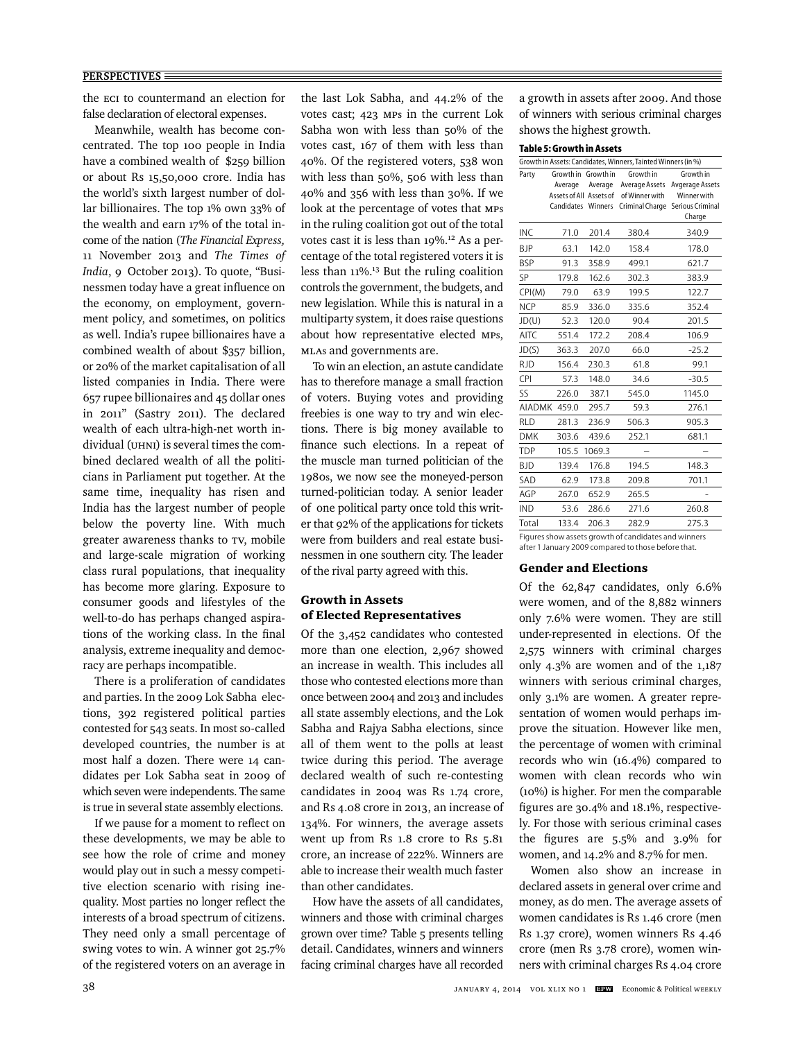the ECI to countermand an election for false declaration of electoral expenses.

Meanwhile, wealth has become concentrated. The top 100 people in India have a combined wealth of \$259 billion or about Rs 15,50,000 crore. India has the world's sixth largest number of dollar billionaires. The top 1% own 33% of the wealth and earn 17% of the total income of the nation (*The Financial Express,* 11 November 2013 and *The Times of India*, 9 October 2013). To quote, "Businessmen today have a great influence on the economy, on employment, government policy, and sometimes, on politics as well. India's rupee billionaires have a combined wealth of about \$357 billion, or 20% of the market capitalisation of all listed companies in India. There were 657 rupee billionaires and 45 dollar ones in 2011" (Sastry 2011). The declared wealth of each ultra-high-net worth individual (UHNI) is several times the combined declared wealth of all the politicians in Parliament put together. At the same time, inequality has risen and India has the largest number of people below the poverty line. With much greater awareness thanks to TV, mobile and large-scale migration of working class rural populations, that inequality has become more glaring. Exposure to consumer goods and lifestyles of the well-to-do has perhaps changed aspirations of the working class. In the final analysis, extreme inequality and democracy are perhaps incompatible.

There is a proliferation of candidates and parties. In the 2009 Lok Sabha elections, 392 registered political parties contested for 543 seats. In most so-called developed countries, the number is at most half a dozen. There were 14 candidates per Lok Sabha seat in 2009 of which seven were independents. The same is true in several state assembly elections.

If we pause for a moment to reflect on these developments, we may be able to see how the role of crime and money would play out in such a messy competitive election scenario with rising inequality. Most parties no longer reflect the interests of a broad spectrum of citizens. They need only a small percentage of swing votes to win. A winner got 25.7% of the registered voters on an average in the last Lok Sabha, and 44.2% of the votes cast; 423 MPs in the current Lok Sabha won with less than 50% of the votes cast, 167 of them with less than 40%. Of the registered voters, 538 won with less than 50%, 506 with less than 40% and 356 with less than 30%. If we look at the percentage of votes that MPs in the ruling coalition got out of the total votes cast it is less than 19%.12 As a percentage of the total registered voters it is less than 11%.13 But the ruling coalition controls the government, the budgets, and new legislation. While this is natural in a multiparty system, it does raise questions about how representative elected MPs, MLAs and governments are.

To win an election, an astute candidate has to therefore manage a small fraction of voters. Buying votes and providing freebies is one way to try and win elections. There is big money available to finance such elections. In a repeat of the muscle man turned politician of the 1980s, we now see the moneyed-person turned-politician today. A senior leader of one political party once told this writer that 92% of the applications for tickets were from builders and real estate businessmen in one southern city. The leader of the rival party agreed with this.

# Growth in Assets of Elected Representatives

Of the 3,452 candidates who contested more than one election, 2,967 showed an increase in wealth. This includes all those who contested elections more than once between 2004 and 2013 and includes all state assembly elections, and the Lok Sabha and Rajya Sabha elections, since all of them went to the polls at least twice during this period. The average declared wealth of such re-contesting candidates in 2004 was Rs 1.74 crore, and Rs 4.08 crore in 2013, an increase of 134%. For winners, the average assets went up from Rs 1.8 crore to Rs 5.81 crore, an increase of 222%. Winners are able to increase their wealth much faster than other candidates.

How have the assets of all candidates, winners and those with criminal charges grown over time? Table 5 presents telling detail. Candidates, winners and winners facing criminal charges have all recorded a growth in assets after 2009. And those of winners with serious criminal charges shows the highest growth.

# **Table 5: Growth in Assets**

| 1971 - 2, 91 UW (11 111 M 22 C L 2                            |                         |         |                 |                  |  |  |  |
|---------------------------------------------------------------|-------------------------|---------|-----------------|------------------|--|--|--|
| Growth in Assets: Candidates, Winners, Tainted Winners (in %) |                         |         |                 |                  |  |  |  |
| Party                                                         | Growth in Growth in     |         | Growth in       | Growth in        |  |  |  |
|                                                               | Average                 | Average | Average Assets  | Avgerage Assets  |  |  |  |
|                                                               | Assets of All Assets of |         | of Winner with  | Winner with      |  |  |  |
|                                                               | Candidates              | Winners | Criminal Charge | Serious Criminal |  |  |  |
|                                                               |                         |         |                 | Charge           |  |  |  |
| <b>INC</b>                                                    | 71.0                    | 201.4   | 380.4           | 340.9            |  |  |  |
| ВJР                                                           | 63.1                    | 142.0   | 158.4           | 178.0            |  |  |  |
| <b>BSP</b>                                                    | 91.3                    | 358.9   | 499.1           | 621.7            |  |  |  |
| SP                                                            | 179.8                   | 162.6   | 302.3           | 383.9            |  |  |  |
| CPI(M)                                                        | 79.0                    | 63.9    | 199.5           | 122.7            |  |  |  |
| <b>NCP</b>                                                    | 85.9                    | 336.0   | 335.6           | 352.4            |  |  |  |
| JD(U)                                                         | 52.3                    | 120.0   | 90.4            | 201.5            |  |  |  |
| <b>AITC</b>                                                   | 551.4                   | 172.2   | 208.4           | 106.9            |  |  |  |
| JD(S)                                                         | 363.3                   | 207.0   | 66.0            | $-25.2$          |  |  |  |
| <b>RJD</b>                                                    | 156.4                   | 230.3   | 61.8            | 99.1             |  |  |  |
| CPI                                                           | 57.3                    | 148.0   | 34.6            | $-30.5$          |  |  |  |
| SS                                                            | 226.0                   | 387.1   | 545.0           | 1145.0           |  |  |  |
| <b>AIADMK</b>                                                 | 459.0                   | 295.7   | 59.3            | 276.1            |  |  |  |
| <b>RLD</b>                                                    | 281.3                   | 236.9   | 506.3           | 905.3            |  |  |  |
| <b>DMK</b>                                                    | 303.6                   | 439.6   | 252.1           | 681.1            |  |  |  |
| TDP                                                           | 105.5                   | 1069.3  |                 |                  |  |  |  |
| BJD                                                           | 139.4                   | 176.8   | 194.5           | 148.3            |  |  |  |
| SAD                                                           | 62.9                    | 173.8   | 209.8           | 701.1            |  |  |  |
| AGP                                                           | 267.0                   | 652.9   | 265.5           |                  |  |  |  |
| <b>IND</b>                                                    | 53.6                    | 286.6   | 271.6           | 260.8            |  |  |  |
| Total                                                         | 133.4                   | 206.3   | 282.9           | 275.3            |  |  |  |
|                                                               |                         |         |                 |                  |  |  |  |

Figures show assets growth of candidates and winners after 1 January 2009 compared to those before that.

## Gender and Elections

Of the 62,847 candidates, only 6.6% were women, and of the 8,882 winners only 7.6% were women. They are still under-represented in elections. Of the 2,575 winners with criminal charges only 4.3% are women and of the 1,187 winners with serious criminal charges, only 3.1% are women. A greater representation of women would perhaps improve the situation. However like men, the percentage of women with criminal records who win (16.4%) compared to women with clean records who win (10%) is higher. For men the comparable figures are  $30.4\%$  and  $18.1\%$ , respectively. For those with serious criminal cases the figures are  $5.5\%$  and  $3.9\%$  for women, and 14.2% and 8.7% for men.

Women also show an increase in declared assets in general over crime and money, as do men. The average assets of women candidates is Rs 1.46 crore (men Rs 1.37 crore), women winners Rs 4.46 crore (men Rs 3.78 crore), women winners with criminal charges Rs 4.04 crore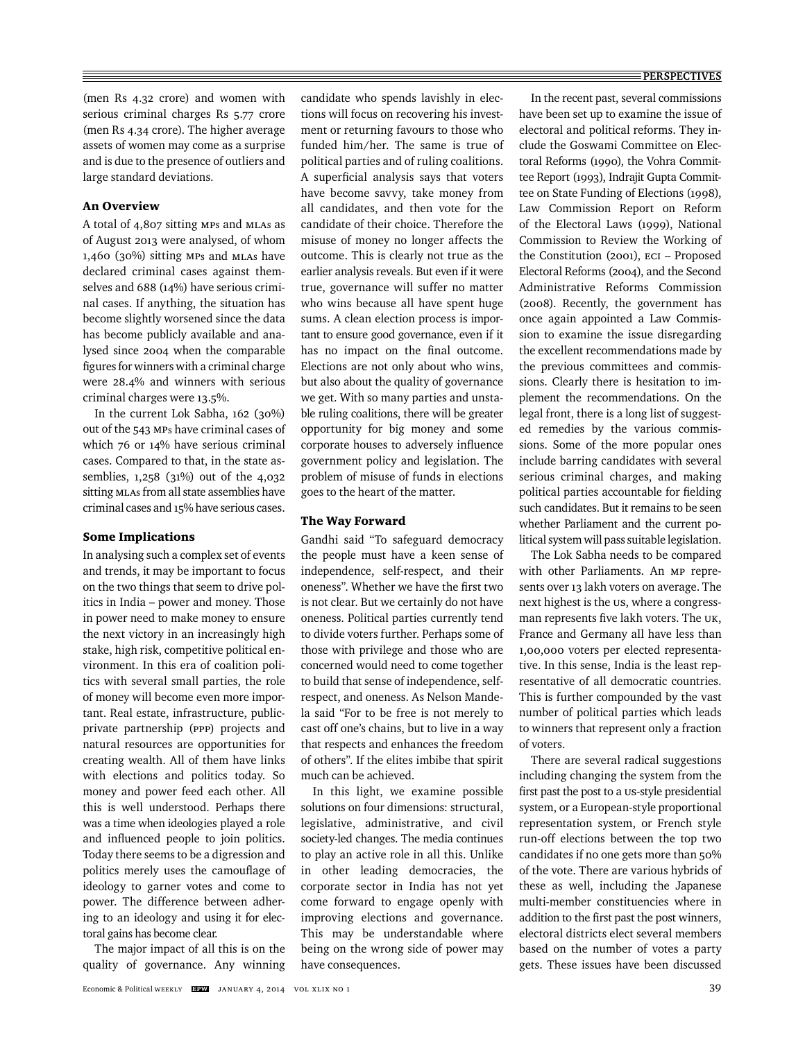(men Rs 4.32 crore) and women with serious criminal charges Rs 5.77 crore (men Rs 4.34 crore). The higher average assets of women may come as a surprise and is due to the presence of outliers and large standard deviations.

# An Overview

A total of 4,807 sitting MPs and MLAs as of August 2013 were analysed, of whom 1,460 (30%) sitting MPs and MLAs have declared criminal cases against themselves and 688 (14%) have serious criminal cases. If anything, the situation has become slightly worsened since the data has become publicly available and analysed since 2004 when the comparable figures for winners with a criminal charge were 28.4% and winners with serious criminal charges were 13.5%.

In the current Lok Sabha, 162 (30%) out of the 543 MPs have criminal cases of which 76 or 14% have serious criminal cases. Compared to that, in the state assemblies, 1,258 (31%) out of the 4,032 sitting MLAs from all state assemblies have criminal cases and 15% have serious cases.

## Some Implications

In analysing such a complex set of events and trends, it may be important to focus on the two things that seem to drive politics in India – power and money. Those in power need to make money to ensure the next victory in an increasingly high stake, high risk, competitive political environment. In this era of coalition politics with several small parties, the role of money will become even more important. Real estate, infrastructure, publicprivate partnership (PPP) projects and natural resources are opportunities for creating wealth. All of them have links with elections and politics today. So money and power feed each other. All this is well understood. Perhaps there was a time when ideologies played a role and influenced people to join politics. Today there seems to be a digression and politics merely uses the camouflage of ideology to garner votes and come to power. The difference between adhering to an ideology and using it for electoral gains has become clear.

The major impact of all this is on the quality of governance. Any winning candidate who spends lavishly in elections will focus on recovering his investment or returning favours to those who funded him/her. The same is true of political parties and of ruling coalitions. A superficial analysis says that voters have become savvy, take money from all candidates, and then vote for the candidate of their choice. Therefore the misuse of money no longer affects the outcome. This is clearly not true as the earlier analysis reveals. But even if it were true, governance will suffer no matter who wins because all have spent huge sums. A clean election process is important to ensure good governance, even if it has no impact on the final outcome. Elections are not only about who wins, but also about the quality of governance we get. With so many parties and unstable ruling coalitions, there will be greater opportunity for big money and some corporate houses to adversely influence government policy and legislation. The problem of misuse of funds in elections goes to the heart of the matter.

# The Way Forward

Gandhi said "To safeguard democracy the people must have a keen sense of independence, self-respect, and their oneness". Whether we have the first two is not clear. But we certainly do not have oneness. Political parties currently tend to divide voters further. Perhaps some of those with privilege and those who are concerned would need to come together to build that sense of independence, selfrespect, and oneness. As Nelson Mandela said "For to be free is not merely to cast off one's chains, but to live in a way that respects and enhances the freedom of others". If the elites imbibe that spirit much can be achieved.

In this light, we examine possible solutions on four dimensions: structural, legislative, administrative, and civil society-led changes. The media continues to play an active role in all this. Unlike in other leading democracies, the cor porate sector in India has not yet come forward to engage openly with improving elections and governance. This may be understandable where being on the wrong side of power may have consequences.

In the recent past, several commissions have been set up to examine the issue of electoral and political reforms. They include the Goswami Committee on Electoral Reforms (1990), the Vohra Committee Report (1993), Indrajit Gupta Committee on State Funding of Elections (1998), Law Commission Report on Reform of the Electoral Laws (1999), National Commission to Review the Working of the Constitution (2001), ECI – Proposed Electoral Reforms (2004), and the Second Administrative Reforms Commission (2008). Recently, the government has once again appointed a Law Commission to examine the issue disregarding the excellent recommendations made by the previous committees and commissions. Clearly there is hesitation to implement the recommendations. On the legal front, there is a long list of suggested remedies by the various commissions. Some of the more popular ones include barring candidates with several serious criminal charges, and making political parties accountable for fielding such candidates. But it remains to be seen whether Parliament and the current political system will pass suitable legislation.

The Lok Sabha needs to be compared with other Parliaments. An MP represents over 13 lakh voters on average. The next highest is the US, where a congressman represents five lakh voters. The UK, France and Germany all have less than 1,00,000 voters per elected representative. In this sense, India is the least representative of all democratic countries. This is further compounded by the vast number of political parties which leads to winners that represent only a fraction of voters.

There are several radical suggestions including changing the system from the first past the post to a us-style presidential system, or a European-style proportional representation system, or French style run-off elections between the top two candidates if no one gets more than 50% of the vote. There are various hybrids of these as well, including the Japanese multi-member constituencies where in addition to the first past the post winners, electoral districts elect several members based on the number of votes a party gets. These issues have been discussed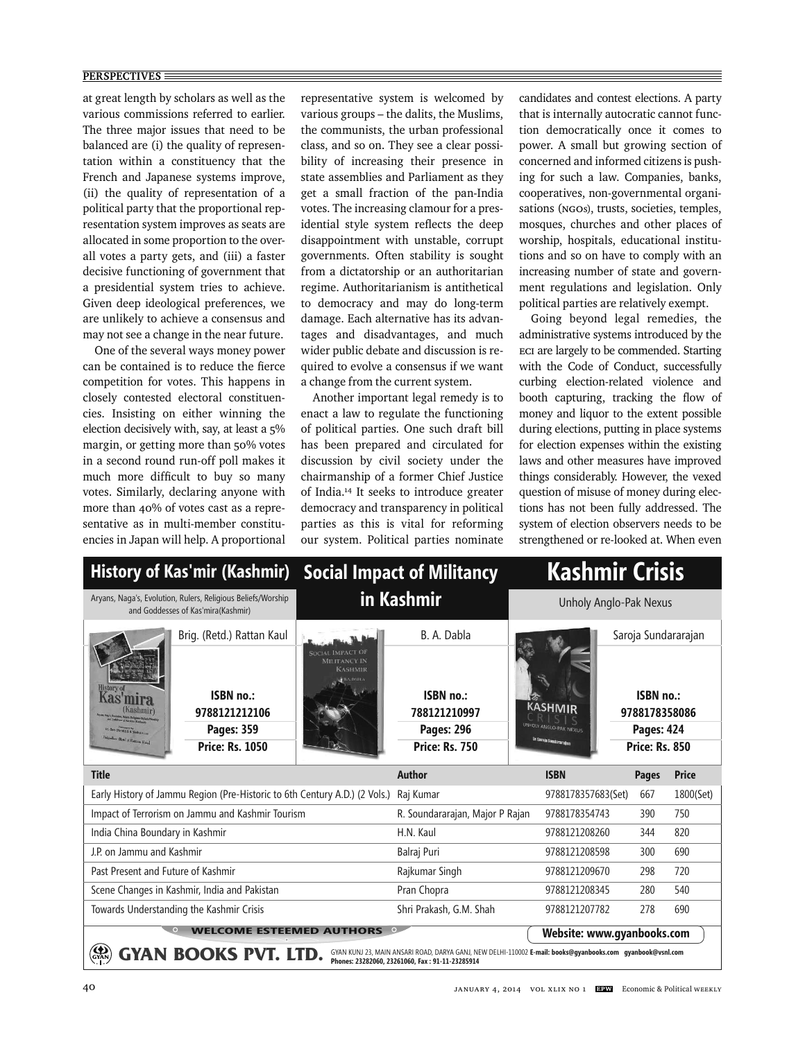#### **PERSPECTIVES**

at great length by scholars as well as the various commissions referred to earlier. The three major issues that need to be balanced are (i) the quality of representation within a constituency that the French and Japanese systems improve, (ii) the quality of representation of a political party that the proportional representation system improves as seats are allocated in some proportion to the overall votes a party gets, and (iii) a faster decisive functioning of government that a presidential system tries to achieve. Given deep ideological preferences, we are unlikely to achieve a consensus and may not see a change in the near future.

One of the several ways money power can be contained is to reduce the fierce competition for votes. This happens in closely contested electoral constituencies. Insisting on either winning the election decisively with, say, at least a 5% margin, or getting more than 50% votes in a second round run-off poll makes it much more difficult to buy so many votes. Similarly, declaring anyone with more than 40% of votes cast as a representative as in multi-member constituencies in Japan will help. A proportional representative system is welcomed by various groups – the dalits, the Muslims, the communists, the urban professional class, and so on. They see a clear possibility of increasing their presence in state assemblies and Parliament as they get a small fraction of the pan-India votes. The increasing clamour for a presidential style system reflects the deep disappointment with unstable, corrupt governments. Often stability is sought from a dictatorship or an authoritarian regime. Authoritarianism is antithetical to democracy and may do long-term damage. Each alternative has its advantages and disadvantages, and much wider public debate and discussion is required to evolve a consensus if we want a change from the current system.

Another important legal remedy is to enact a law to regulate the functioning of political parties. One such draft bill has been prepared and circulated for discussion by civil society under the chairmanship of a former Chief Justice of India.14 It seeks to introduce greater democracy and transparency in political parties as this is vital for reforming our system. Political parties nominate candidates and contest elections. A party that is internally autocratic cannot function democratically once it comes to power. A small but growing section of concerned and informed citizens is pushing for such a law. Companies, banks, cooperatives, non-governmental organisations (NGOs), trusts, societies, temples, mosques, churches and other places of worship, hospitals, educational institutions and so on have to comply with an increasing number of state and government regulations and legislation. Only political parties are relatively exempt.

Going beyond legal remedies, the administrative systems introduced by the ECI are largely to be commended. Starting with the Code of Conduct, successfully curbing election-related violence and booth capturing, tracking the flow of money and liquor to the extent possible during elections, putting in place systems for election expenses within the existing laws and other measures have improved things considerably. However, the vexed question of misuse of money during elections has not been fully addressed. The system of election observers needs to be strengthened or re-looked at. When even

| History of Kas'mir (Kashmir) Social Impact of Militancy                                                                                                                                    |                                                                           |                                                    | <b>Kashmir Crisis</b>                                                   |                                                                    |                             |                                |                                        |  |
|--------------------------------------------------------------------------------------------------------------------------------------------------------------------------------------------|---------------------------------------------------------------------------|----------------------------------------------------|-------------------------------------------------------------------------|--------------------------------------------------------------------|-----------------------------|--------------------------------|----------------------------------------|--|
| Aryans, Naga's, Evolution, Rulers, Religious Beliefs/Worship<br>and Goddesses of Kas'mira(Kashmir)                                                                                         |                                                                           | in Kashmir                                         |                                                                         | Unholy Anglo-Pak Nexus                                             |                             |                                |                                        |  |
| Brig. (Retd.) Rattan Kaul                                                                                                                                                                  |                                                                           |                                                    | B. A. Dabla                                                             |                                                                    |                             | Saroja Sundararajan            |                                        |  |
| History o<br><b>Kashmir</b><br>it. Om (Rest 15 & Sight Food<br><b>Headley (Retal J Rattan Kaul)</b>                                                                                        | ISBN no.:<br>9788121212106<br><b>Pages: 359</b><br><b>Price: Rs. 1050</b> | <b>SOCIAL IMPACT OI</b><br>MILITANCY IN<br>KASHMIR | ISBN no.:<br>788121210997<br><b>Pages: 296</b><br><b>Price: Rs. 750</b> | <b>KASHMIR</b><br>UNHOLY ANGLO-PAK NEXUS<br>de Saraja Sondararajan |                             | ISBN no.:<br><b>Pages: 424</b> | 9788178358086<br><b>Price: Rs. 850</b> |  |
| <b>Title</b>                                                                                                                                                                               |                                                                           |                                                    | <b>Author</b>                                                           |                                                                    | <b>ISBN</b>                 | <b>Pages</b>                   | <b>Price</b>                           |  |
| Early History of Jammu Region (Pre-Historic to 6th Century A.D.) (2 Vols.)                                                                                                                 |                                                                           |                                                    | Raj Kumar                                                               |                                                                    | 9788178357683(Set)          | 667                            | 1800(Set)                              |  |
| Impact of Terrorism on Jammu and Kashmir Tourism                                                                                                                                           |                                                                           |                                                    | R. Soundararajan, Major P Rajan                                         |                                                                    | 9788178354743               | 390                            | 750                                    |  |
| India China Boundary in Kashmir                                                                                                                                                            |                                                                           |                                                    | H.N. Kaul                                                               |                                                                    | 9788121208260<br>820<br>344 |                                |                                        |  |
| J.P. on Jammu and Kashmir                                                                                                                                                                  |                                                                           |                                                    | Balraj Puri                                                             | 9788121208598<br>690<br>300                                        |                             |                                |                                        |  |
| Past Present and Future of Kashmir                                                                                                                                                         |                                                                           |                                                    | Rajkumar Singh                                                          |                                                                    | 9788121209670<br>298<br>720 |                                |                                        |  |
| Scene Changes in Kashmir, India and Pakistan                                                                                                                                               |                                                                           |                                                    | Pran Chopra                                                             |                                                                    | 9788121208345<br>280        |                                | 540                                    |  |
| Towards Understanding the Kashmir Crisis                                                                                                                                                   |                                                                           |                                                    | Shri Prakash, G.M. Shah                                                 |                                                                    | 9788121207782               | 278                            | 690                                    |  |
| $\circ$<br><b>WELCOME ESTEEMED AUTHORS</b><br>Website: www.gyanbooks.com                                                                                                                   |                                                                           |                                                    |                                                                         |                                                                    |                             |                                |                                        |  |
| <b>AN BOOKS PVT. LTD.</b><br>GYAN KUNJ 23, MAIN ANSARI ROAD, DARYA GANJ, NEW DELHI-110002 E-mail: books@qyanbooks.com qyanbook@vsnl.com<br>Phones: 23282060, 23261060, Fax: 91-11-23285914 |                                                                           |                                                    |                                                                         |                                                                    |                             |                                |                                        |  |